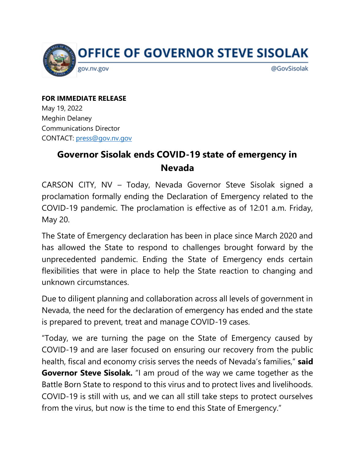

**FOR IMMEDIATE RELEASE** May 19, 2022 Meghin Delaney Communications Director CONTACT: [press@gov.nv.gov](mailto:press@gov.nv.gov)

## **Governor Sisolak ends COVID-19 state of emergency in Nevada**

CARSON CITY, NV – Today, Nevada Governor Steve Sisolak signed a proclamation formally ending the Declaration of Emergency related to the COVID-19 pandemic. The proclamation is effective as of 12:01 a.m. Friday, May 20.

The State of Emergency declaration has been in place since March 2020 and has allowed the State to respond to challenges brought forward by the unprecedented pandemic. Ending the State of Emergency ends certain flexibilities that were in place to help the State reaction to changing and unknown circumstances.

Due to diligent planning and collaboration across all levels of government in Nevada, the need for the declaration of emergency has ended and the state is prepared to prevent, treat and manage COVID-19 cases.

"Today, we are turning the page on the State of Emergency caused by COVID-19 and are laser focused on ensuring our recovery from the public health, fiscal and economy crisis serves the needs of Nevada's families," **said Governor Steve Sisolak.** "I am proud of the way we came together as the Battle Born State to respond to this virus and to protect lives and livelihoods. COVID-19 is still with us, and we can all still take steps to protect ourselves from the virus, but now is the time to end this State of Emergency."